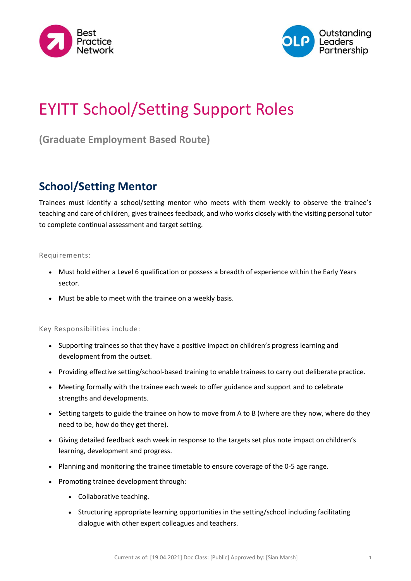



# EYITT School/Setting Support Roles

**(Graduate Employment Based Route)**

### **School/Setting Mentor**

Trainees must identify a school/setting mentor who meets with them weekly to observe the trainee's teaching and care of children, gives trainees feedback, and who works closely with the visiting personal tutor to complete continual assessment and target setting.

#### Requirements:

- Must hold either a Level 6 qualification or possess a breadth of experience within the Early Years sector.
- Must be able to meet with the trainee on a weekly basis.

#### Key Responsibilities include:

- Supporting trainees so that they have a positive impact on children's progress learning and development from the outset.
- Providing effective setting/school-based training to enable trainees to carry out deliberate practice.
- Meeting formally with the trainee each week to offer guidance and support and to celebrate strengths and developments.
- Setting targets to guide the trainee on how to move from A to B (where are they now, where do they need to be, how do they get there).
- Giving detailed feedback each week in response to the targets set plus note impact on children's learning, development and progress.
- Planning and monitoring the trainee timetable to ensure coverage of the 0-5 age range.
- Promoting trainee development through:
	- Collaborative teaching.
	- Structuring appropriate learning opportunities in the setting/school including facilitating dialogue with other expert colleagues and teachers.